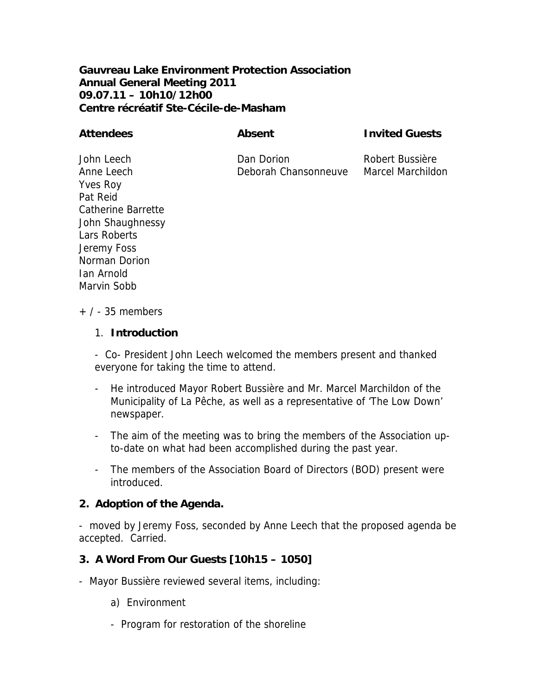## **Gauvreau Lake Environment Protection Association Annual General Meeting 2011 09.07.11 – 10h10/12h00 Centre récréatif Ste-Cécile-de-Masham**

#### **Attendees Absent Invited Guests**

Yves Roy Pat Reid Catherine Barrette John Shaughnessy Lars Roberts Jeremy Foss Norman Dorion Ian Arnold Marvin Sobb

John Leech Dan Dorion Robert Bussière Anne Leech Deborah Chansonneuve Marcel Marchildon

 $+$  / - 35 members

#### 1. **Introduction**

- Co- President John Leech welcomed the members present and thanked everyone for taking the time to attend.

- He introduced Mayor Robert Bussière and Mr. Marcel Marchildon of the Municipality of La Pêche, as well as a representative of 'The Low Down' newspaper.
- The aim of the meeting was to bring the members of the Association upto-date on what had been accomplished during the past year.
- The members of the Association Board of Directors (BOD) present were introduced.

## **2. Adoption of the Agenda.**

- moved by Jeremy Foss, seconded by Anne Leech that the proposed agenda be accepted. Carried.

## **3. A Word From Our Guests [10h15 – 1050]**

- Mayor Bussière reviewed several items, including:
	- a) Environment
	- Program for restoration of the shoreline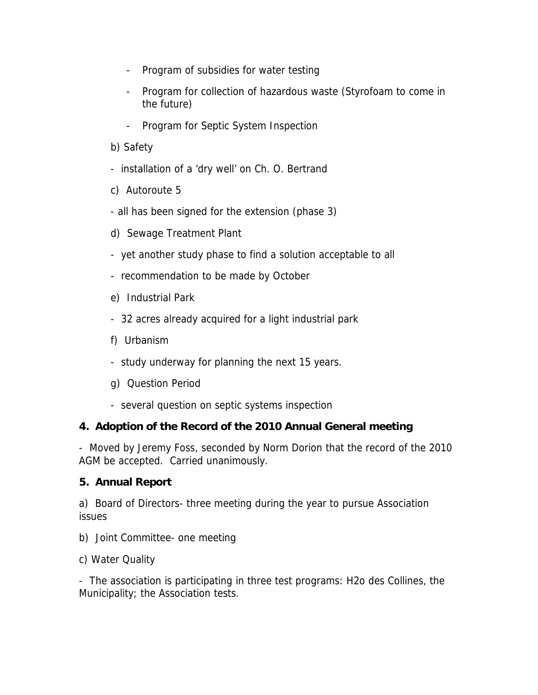- Program of subsidies for water testing
- Program for collection of hazardous waste (Styrofoam to come in the future)
- Program for Septic System Inspection
- b) Safety
- installation of a 'dry well' on Ch. O. Bertrand
- c) Autoroute 5
- all has been signed for the extension (phase 3)
- d) Sewage Treatment Plant
- yet another study phase to find a solution acceptable to all
- recommendation to be made by October
- e) Industrial Park
- 32 acres already acquired for a light industrial park
- f) Urbanism
- study underway for planning the next 15 years.
- g) Question Period
- several question on septic systems inspection

## **4. Adoption of the Record of the 2010 Annual General meeting**

- Moved by Jeremy Foss, seconded by Norm Dorion that the record of the 2010 AGM be accepted. Carried unanimously.

## **5. Annual Report**

a) Board of Directors- three meeting during the year to pursue Association issues

- b) Joint Committee- one meeting
- c) Water Quality

- The association is participating in three test programs: H2o des Collines, the Municipality; the Association tests.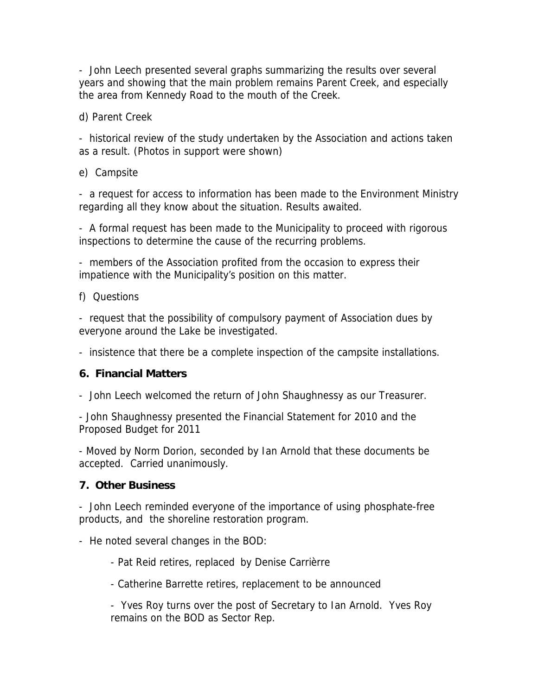- John Leech presented several graphs summarizing the results over several years and showing that the main problem remains Parent Creek, and especially the area from Kennedy Road to the mouth of the Creek.

d) Parent Creek

- historical review of the study undertaken by the Association and actions taken as a result. (Photos in support were shown)

e) Campsite

- a request for access to information has been made to the Environment Ministry regarding all they know about the situation. Results awaited.

- A formal request has been made to the Municipality to proceed with rigorous inspections to determine the cause of the recurring problems.

- members of the Association profited from the occasion to express their impatience with the Municipality's position on this matter.

f) Questions

- request that the possibility of compulsory payment of Association dues by everyone around the Lake be investigated.

- insistence that there be a complete inspection of the campsite installations.

## **6. Financial Matters**

- John Leech welcomed the return of John Shaughnessy as our Treasurer.

- John Shaughnessy presented the Financial Statement for 2010 and the Proposed Budget for 2011

- Moved by Norm Dorion, seconded by Ian Arnold that these documents be accepted. Carried unanimously.

## **7. Other Business**

- John Leech reminded everyone of the importance of using phosphate-free products, and the shoreline restoration program.

- He noted several changes in the BOD:

- Pat Reid retires, replaced by Denise Carrièrre

- Catherine Barrette retires, replacement to be announced

- Yves Roy turns over the post of Secretary to Ian Arnold. Yves Roy remains on the BOD as Sector Rep.